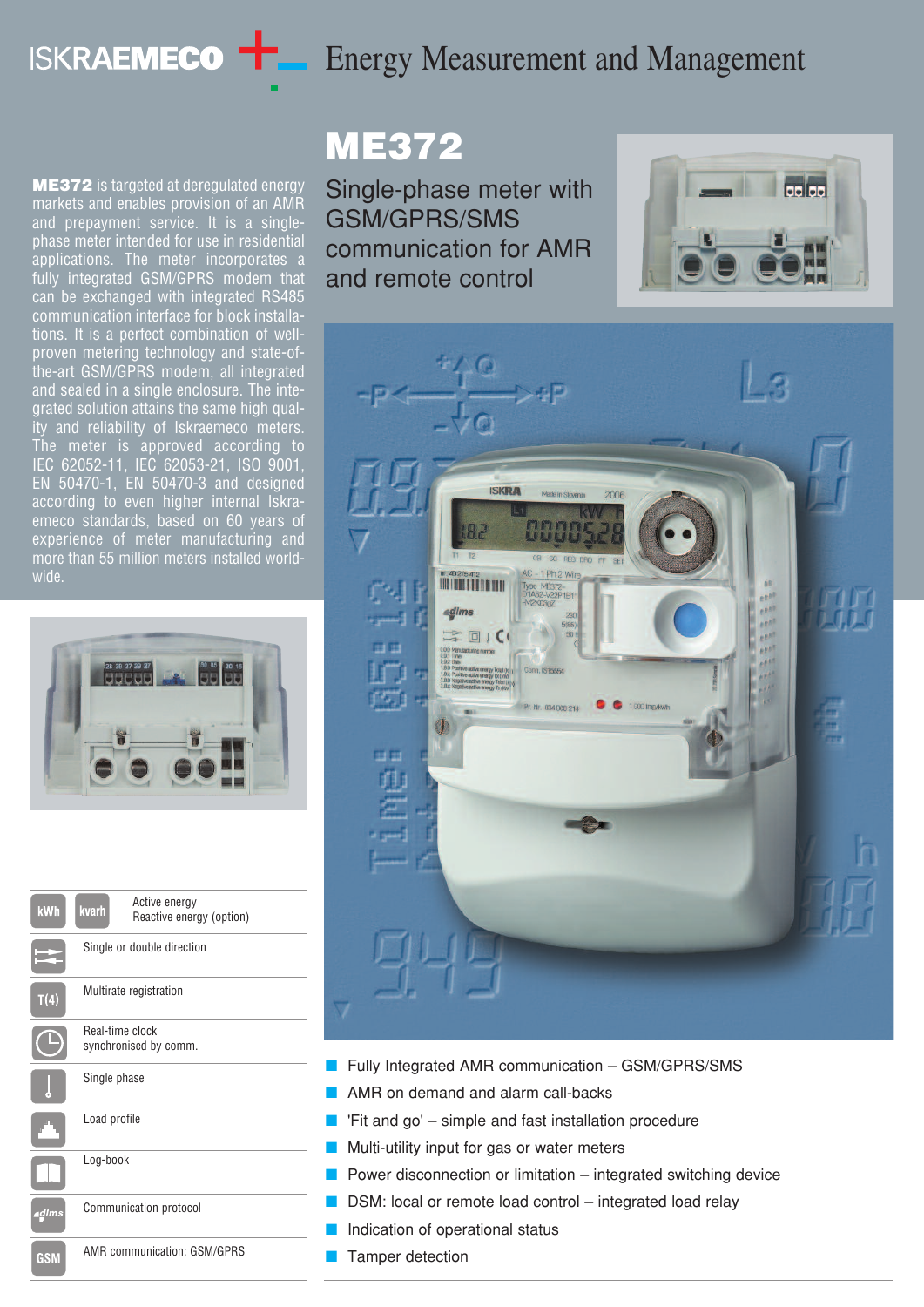# **ISKRAEMECO F** Energy Measurement and Management

**ME372** is targeted at deregulated energy markets and enables provision of an AMR and prepayment service. It is a singlephase meter intended for use in residential applications. The meter incorporates a fully integrated GSM/GPRS modem that can be exchanged with integrated RS485 communication interface for block installations. It is a perfect combination of wellproven metering technology and state-ofthe-art GSM/GPRS modem, all integrated and sealed in a single enclosure. The integrated solution attains the same high quality and reliability of Iskraemeco meters. The meter is approved according to IEC 62052-11, IEC 62053-21, ISO 9001, EN 50470-1, EN 50470-3 and designed according to even higher internal Iskraemeco standards, based on 60 years of experience of meter manufacturing and more than 55 million meters installed worldwide.



| kWh        | Active energy<br>kvarh<br>Reactive energy (option) |  |
|------------|----------------------------------------------------|--|
|            | Single or double direction                         |  |
| T(4)       | Multirate registration                             |  |
|            | Real-time clock<br>synchronised by comm.           |  |
|            | Single phase                                       |  |
|            | Load profile                                       |  |
|            | Log-book                                           |  |
| ₫lms       | Communication protocol                             |  |
| <b>GSM</b> | AMR communication: GSM/GPRS                        |  |

# **ME372**

Single-phase meter with GSM/GPRS/SMS communication for AMR and remote control





- Fully Integrated AMR communication GSM/GPRS/SMS
- AMR on demand and alarm call-backs
- $\blacksquare$  'Fit and go' simple and fast installation procedure
- Multi-utility input for gas or water meters
- Power disconnection or limitation integrated switching device
- DSM: local or remote load control integrated load relay
- Indication of operational status
- Tamper detection